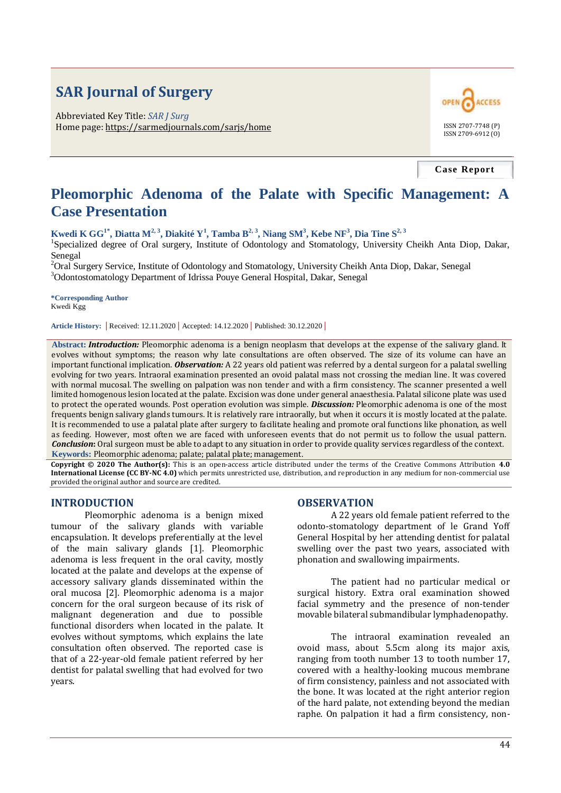# **SAR Journal of Surgery**

Abbreviated Key Title: *SAR J Surg* Home page: https://sarmedjournals.com/sarjs/home ISSN 2707-7748 (P)



**Case Report**

# **Pleomorphic Adenoma of the Palate with Specific Management: A Case Presentation**

**Kwedi K GG1\*, Diatta M2, 3, Diakité Y<sup>1</sup> , Tamba B2, 3, Niang SM<sup>3</sup> , Kebe NF<sup>3</sup> , Dia Tine S2, 3**

<sup>1</sup>Specialized degree of Oral surgery, Institute of Odontology and Stomatology, University Cheikh Anta Diop, Dakar, Senegal

<sup>2</sup>Oral Surgery Service, Institute of Odontology and Stomatology, University Cheikh Anta Diop, Dakar, Senegal <sup>3</sup>Odontostomatology Department of Idrissa Pouye General Hospital, Dakar, Senegal

**\*Corresponding Author** Kwedi Kgg

**Article History: |** Received: 12.11.2020 **|** Accepted: 14.12.2020 **|** Published: 30.12.2020 **|**

**Abstract:** *Introduction:* Pleomorphic adenoma is a benign neoplasm that develops at the expense of the salivary gland. It evolves without symptoms; the reason why late consultations are often observed. The size of its volume can have an important functional implication. *Observation:* A 22 years old patient was referred by a dental surgeon for a palatal swelling evolving for two years. Intraoral examination presented an ovoid palatal mass not crossing the median line. It was covered with normal mucosal. The swelling on palpation was non tender and with a firm consistency. The scanner presented a well limited homogenous lesion located at the palate. Excision was done under general anaesthesia. Palatal silicone plate was used to protect the operated wounds. Post operation evolution was simple. *Discussion:* Pleomorphic adenoma is one of the most frequents benign salivary glands tumours. It is relatively rare intraorally, but when it occurs it is mostly located at the palate. It is recommended to use a palatal plate after surgery to facilitate healing and promote oral functions like phonation, as well as feeding. However, most often we are faced with unforeseen events that do not permit us to follow the usual pattern. *Conclusion***:** Oral surgeon must be able to adapt to any situation in order to provide quality services regardless of the context. **Keywords:** Pleomorphic adenoma; palate; palatal plate; management.

**Copyright © 2020 The Author(s):** This is an open-access article distributed under the terms of the Creative Commons Attribution **4.0 International License (CC BY-NC 4.0)** which permits unrestricted use, distribution, and reproduction in any medium for non-commercial use provided the original author and source are credited.

#### **INTRODUCTION**

Pleomorphic adenoma is a benign mixed tumour of the salivary glands with variable encapsulation. It develops preferentially at the level of the main salivary glands [1]. Pleomorphic adenoma is less frequent in the oral cavity, mostly located at the palate and develops at the expense of accessory salivary glands disseminated within the oral mucosa [2]. Pleomorphic adenoma is a major concern for the oral surgeon because of its risk of malignant degeneration and due to possible functional disorders when located in the palate. It evolves without symptoms, which explains the late consultation often observed. The reported case is that of a 22-year-old female patient referred by her dentist for palatal swelling that had evolved for two years.

#### **OBSERVATION**

A 22 years old female patient referred to the odonto-stomatology department of le Grand Yoff General Hospital by her attending dentist for palatal swelling over the past two years, associated with phonation and swallowing impairments.

The patient had no particular medical or surgical history. Extra oral examination showed facial symmetry and the presence of non-tender movable bilateral submandibular lymphadenopathy.

The intraoral examination revealed an ovoid mass, about 5.5cm along its major axis, ranging from tooth number 13 to tooth number 17, covered with a healthy-looking mucous membrane of firm consistency, painless and not associated with the bone. It was located at the right anterior region of the hard palate, not extending beyond the median raphe. On palpation it had a firm consistency, non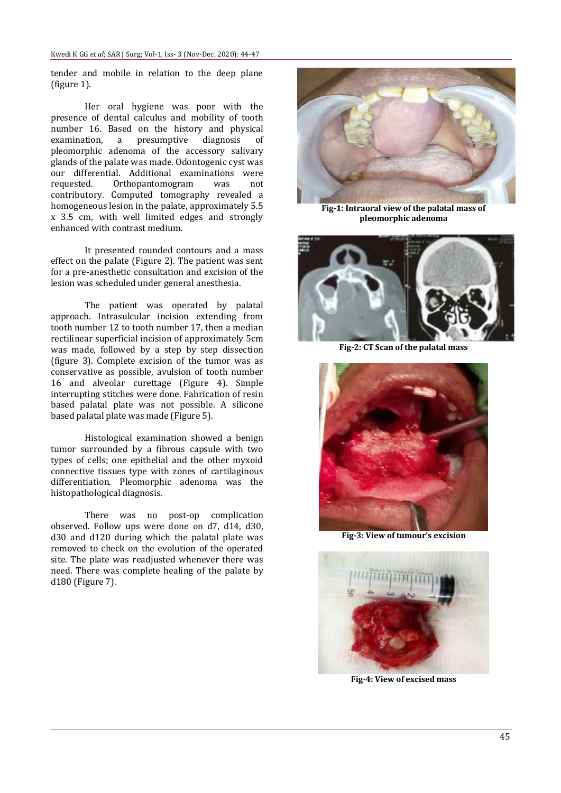tender and mobile in relation to the deep plane (figure 1).

Her oral hygiene was poor with the presence of dental calculus and mobility of tooth number 16. Based on the history and physical examination, a presumptive diagnosis of pleomorphic adenoma of the accessory salivary glands of the palate was made. Odontogenic cyst was our differential. Additional examinations were<br>requested. Orthopantomogram was not Orthopantomogram was not contributory. Computed tomography revealed a homogeneous lesion in the palate, approximately 5.5 x 3.5 cm, with well limited edges and strongly enhanced with contrast medium.

It presented rounded contours and a mass effect on the palate (Figure 2). The patient was sent for a pre-anesthetic consultation and excision of the lesion was scheduled under general anesthesia.

The patient was operated by palatal approach. Intrasulcular incision extending from tooth number 12 to tooth number 17, then a median rectilinear superficial incision of approximately 5cm was made, followed by a step by step dissection (figure 3). Complete excision of the tumor was as conservative as possible, avulsion of tooth number 16 and alveolar curettage (Figure 4). Simple interrupting stitches were done. Fabrication of resin based palatal plate was not possible. A silicone based palatal plate was made (Figure 5).

Histological examination showed a benign tumor surrounded by a fibrous capsule with two types of cells; one epithelial and the other myxoid connective tissues type with zones of cartilaginous differentiation. Pleomorphic adenoma was the histopathological diagnosis.

There was no post-op complication observed. Follow ups were done on d7, d14, d30, d30 and d120 during which the palatal plate was removed to check on the evolution of the operated site. The plate was readjusted whenever there was need. There was complete healing of the palate by d180 (Figure 7).



**Fig-1: Intraoral view of the palatal mass of pleomorphic adenoma**



**Fig-2: CT Scan of the palatal mass**



**Fig-3: View of tumour's excision**



**Fig-4: View of excised mass**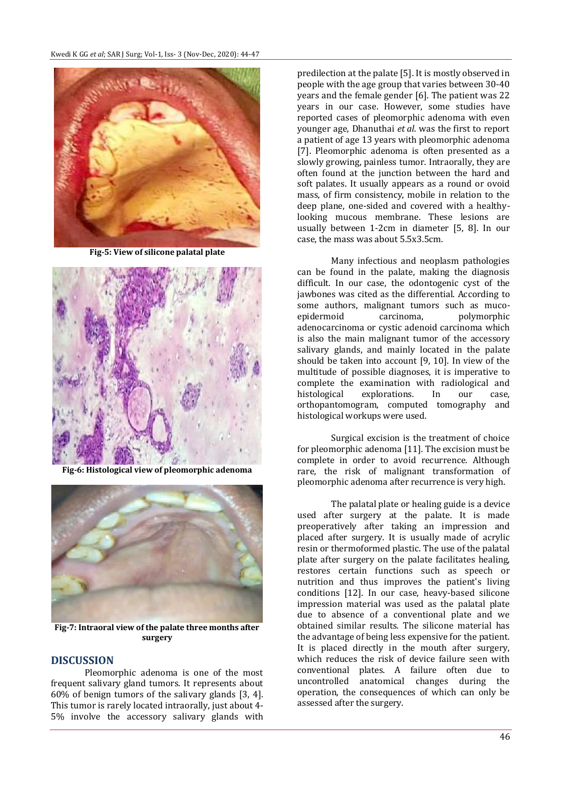

**Fig-5: View of silicone palatal plate**



**Fig-6: Histological view of pleomorphic adenoma**



**Fig-7: Intraoral view of the palate three months after surgery**

# **DISCUSSION**

Pleomorphic adenoma is one of the most frequent salivary gland tumors. It represents about 60% of benign tumors of the salivary glands [3, 4]. This tumor is rarely located intraorally, just about 4- 5% involve the accessory salivary glands with

predilection at the palate [5]. It is mostly observed in people with the age group that varies between 30-40 years and the female gender [6]. The patient was 22 years in our case. However, some studies have reported cases of pleomorphic adenoma with even younger age, Dhanuthai *et al*. was the first to report a patient of age 13 years with pleomorphic adenoma [7]. Pleomorphic adenoma is often presented as a slowly growing, painless tumor. Intraorally, they are often found at the junction between the hard and soft palates. It usually appears as a round or ovoid mass, of firm consistency, mobile in relation to the deep plane, one-sided and covered with a healthylooking mucous membrane. These lesions are usually between 1-2cm in diameter [5, 8]. In our case, the mass was about 5.5x3.5cm.

Many infectious and neoplasm pathologies can be found in the palate, making the diagnosis difficult. In our case, the odontogenic cyst of the jawbones was cited as the differential. According to some authors, malignant tumors such as mucoepidermoid carcinoma, polymorphic adenocarcinoma or cystic adenoid carcinoma which is also the main malignant tumor of the accessory salivary glands, and mainly located in the palate should be taken into account [9, 10]. In view of the multitude of possible diagnoses, it is imperative to complete the examination with radiological and histological explorations. In our case, orthopantomogram, computed tomography and histological workups were used.

Surgical excision is the treatment of choice for pleomorphic adenoma [11]. The excision must be complete in order to avoid recurrence. Although rare, the risk of malignant transformation of pleomorphic adenoma after recurrence is very high.

The palatal plate or healing guide is a device used after surgery at the palate. It is made preoperatively after taking an impression and placed after surgery. It is usually made of acrylic resin or thermoformed plastic. The use of the palatal plate after surgery on the palate facilitates healing, restores certain functions such as speech or nutrition and thus improves the patient's living conditions [12]. In our case, heavy-based silicone impression material was used as the palatal plate due to absence of a conventional plate and we obtained similar results. The silicone material has the advantage of being less expensive for the patient. It is placed directly in the mouth after surgery, which reduces the risk of device failure seen with conventional plates. A failure often due to uncontrolled anatomical changes during the operation, the consequences of which can only be assessed after the surgery.